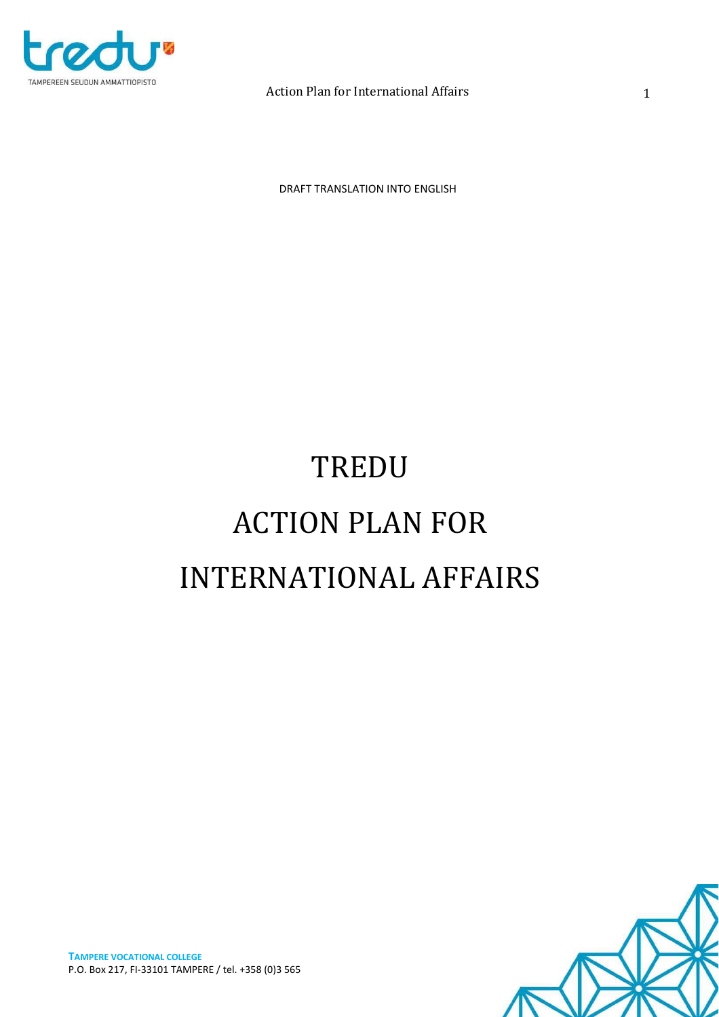

DRAFT TRANSLATION INTO ENGLISH

# TREDU ACTION PLAN FOR INTERNATIONAL AFFAIRS

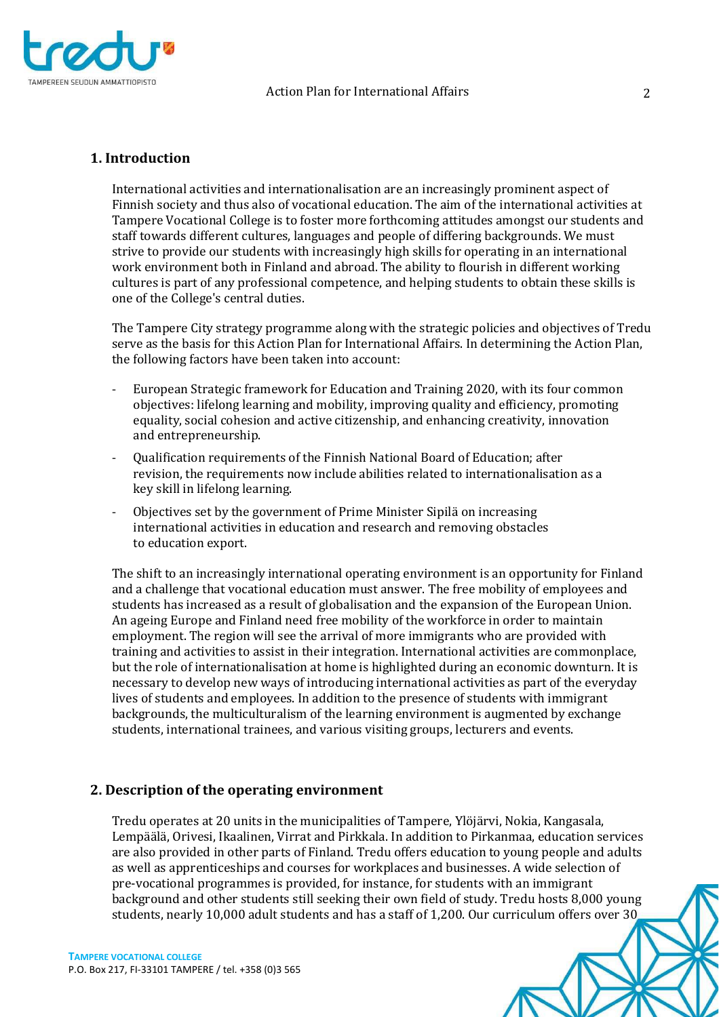

# **1. Introduction**

International activities and internationalisation are an increasingly prominent aspect of Finnish society and thus also of vocational education. The aim of the international activities at Tampere Vocational College is to foster more forthcoming attitudes amongst our students and staff towards different cultures, languages and people of differing backgrounds. We must strive to provide our students with increasingly high skills for operating in an international work environment both in Finland and abroad. The ability to flourish in different working cultures is part of any professional competence, and helping students to obtain these skills is one of the College's central duties.

The Tampere City strategy programme along with the strategic policies and objectives of Tredu serve as the basis for this Action Plan for International Affairs. In determining the Action Plan, the following factors have been taken into account:

- European Strategic framework for Education and Training 2020, with its four common objectives: lifelong learning and mobility, improving quality and efficiency, promoting equality, social cohesion and active citizenship, and enhancing creativity, innovation and entrepreneurship.
- Qualification requirements of the Finnish National Board of Education; after revision, the requirements now include abilities related to internationalisation as a key skill in lifelong learning.
- Objectives set by the government of Prime Minister Sipilä on increasing international activities in education and research and removing obstacles to education export.

The shift to an increasingly international operating environment is an opportunity for Finland and a challenge that vocational education must answer. The free mobility of employees and students has increased as a result of globalisation and the expansion of the European Union. An ageing Europe and Finland need free mobility of the workforce in order to maintain employment. The region will see the arrival of more immigrants who are provided with training and activities to assist in their integration. International activities are commonplace, but the role of internationalisation at home is highlighted during an economic downturn. It is necessary to develop new ways of introducing international activities as part of the everyday lives of students and employees. In addition to the presence of students with immigrant backgrounds, the multiculturalism of the learning environment is augmented by exchange students, international trainees, and various visiting groups, lecturers and events.

# **2. Description of the operating environment**

Tredu operates at 20 units in the municipalities of Tampere, Ylöjärvi, Nokia, Kangasala, Lempäälä, Orivesi, Ikaalinen, Virrat and Pirkkala. In addition to Pirkanmaa, education services are also provided in other parts of Finland. Tredu offers education to young people and adults as well as apprenticeships and courses for workplaces and businesses. A wide selection of pre-vocational programmes is provided, for instance, for students with an immigrant background and other students still seeking their own field of study. Tredu hosts 8,000 young students, nearly 10,000 adult students and has a staff of 1,200. Our curriculum offers over 30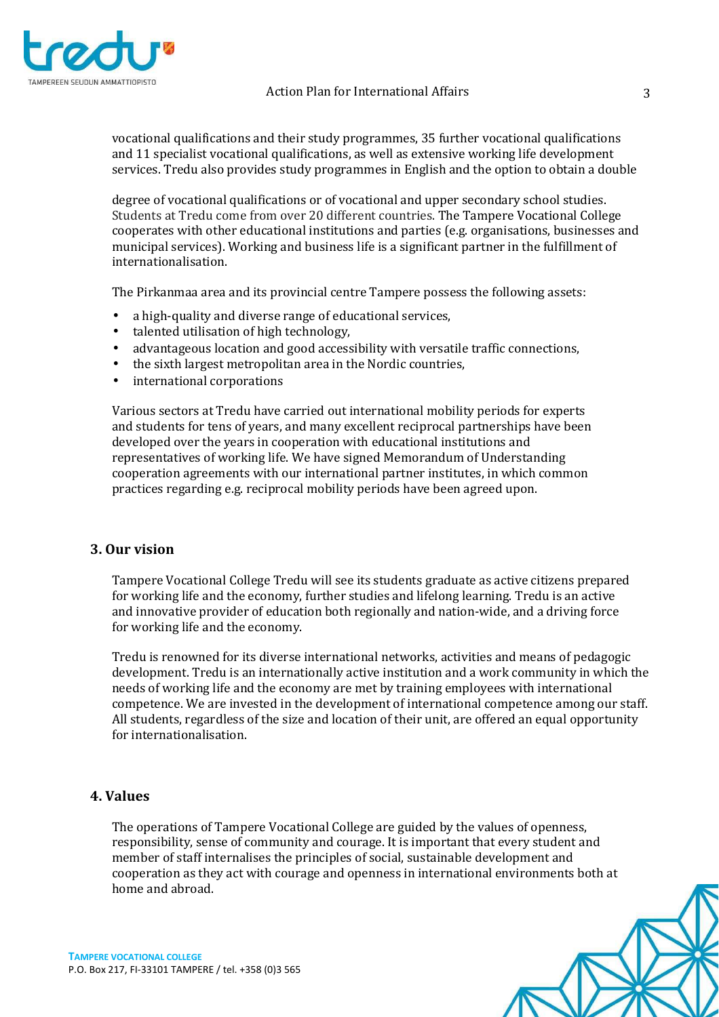

vocational qualifications and their study programmes, 35 further vocational qualifications and 11 specialist vocational qualifications, as well as extensive working life development services. Tredu also provides study programmes in English and the option to obtain a double

degree of vocational qualifications or of vocational and upper secondary school studies. Students at Tredu come from over 20 different countries. The Tampere Vocational College cooperates with other educational institutions and parties (e.g. organisations, businesses and municipal services). Working and business life is a significant partner in the fulfillment of internationalisation.

The Pirkanmaa area and its provincial centre Tampere possess the following assets:

- a high-quality and diverse range of educational services,
- talented utilisation of high technology,
- advantageous location and good accessibility with versatile traffic connections,
- the sixth largest metropolitan area in the Nordic countries,
- international corporations

Various sectors at Tredu have carried out international mobility periods for experts and students for tens of years, and many excellent reciprocal partnerships have been developed over the years in cooperation with educational institutions and representatives of working life. We have signed Memorandum of Understanding cooperation agreements with our international partner institutes, in which common practices regarding e.g. reciprocal mobility periods have been agreed upon.

# **3. Our vision**

Tampere Vocational College Tredu will see its students graduate as active citizens prepared for working life and the economy, further studies and lifelong learning. Tredu is an active and innovative provider of education both regionally and nation-wide, and a driving force for working life and the economy.

Tredu is renowned for its diverse international networks, activities and means of pedagogic development. Tredu is an internationally active institution and a work community in which the needs of working life and the economy are met by training employees with international competence. We are invested in the development of international competence among our staff. All students, regardless of the size and location of their unit, are offered an equal opportunity for internationalisation.

# **4. Values**

The operations of Tampere Vocational College are guided by the values of openness, responsibility, sense of community and courage. It is important that every student and member of staff internalises the principles of social, sustainable development and cooperation as they act with courage and openness in international environments both at home and abroad.

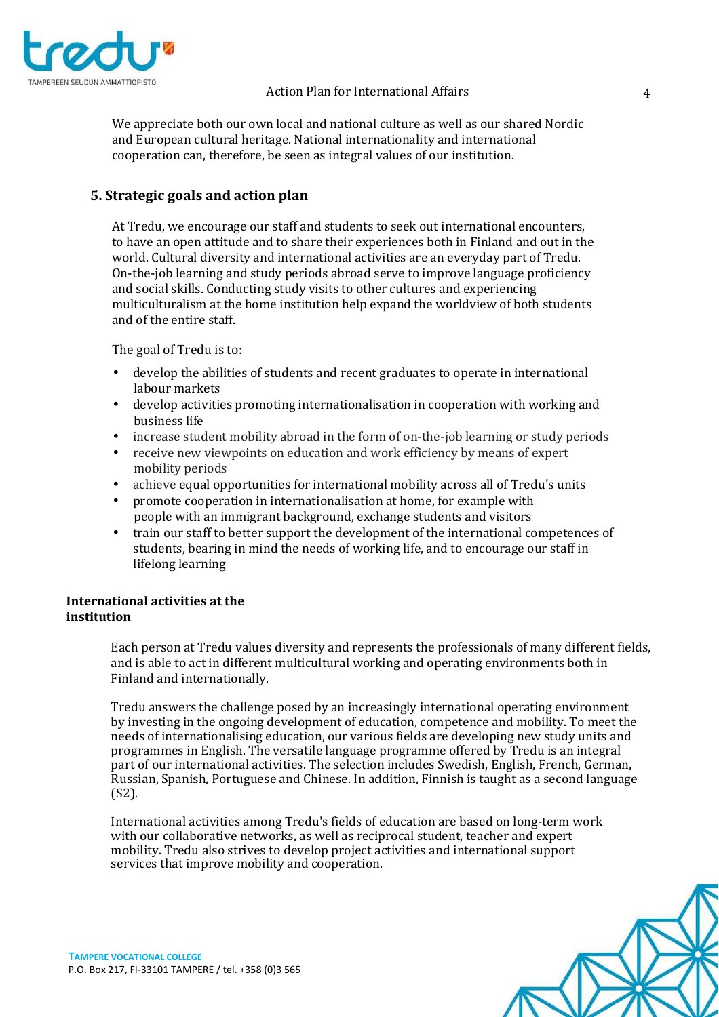

We appreciate both our own local and national culture as well as our shared Nordic and European cultural heritage. National internationality and international cooperation can, therefore, be seen as integral values of our institution.

# **5. Strategic goals and action plan**

At Tredu, we encourage our staff and students to seek out international encounters, to have an open attitude and to share their experiences both in Finland and out in the world. Cultural diversity and international activities are an everyday part of Tredu. On-the-job learning and study periods abroad serve to improve language proficiency and social skills. Conducting study visits to other cultures and experiencing multiculturalism at the home institution help expand the worldview of both students and of the entire staff.

The goal of Tredu is to:

- develop the abilities of students and recent graduates to operate in international labour markets
- develop activities promoting internationalisation in cooperation with working and business life
- increase student mobility abroad in the form of on-the-job learning or study periods
- receive new viewpoints on education and work efficiency by means of expert mobility periods
- achieve equal opportunities for international mobility across all of Tredu's units
- promote cooperation in internationalisation at home, for example with people with an immigrant background, exchange students and visitors
- train our staff to better support the development of the international competences of students, bearing in mind the needs of working life, and to encourage our staff in lifelong learning

# **International activities at the institution**

Each person at Tredu values diversity and represents the professionals of many different fields, and is able to act in different multicultural working and operating environments both in Finland and internationally.

Tredu answers the challenge posed by an increasingly international operating environment by investing in the ongoing development of education, competence and mobility. To meet the needs of internationalising education, our various fields are developing new study units and programmes in English. The versatile language programme offered by Tredu is an integral part of our international activities. The selection includes Swedish, English, French, German, Russian, Spanish, Portuguese and Chinese. In addition, Finnish is taught as a second language (S2).

International activities among Tredu's fields of education are based on long-term work with our collaborative networks, as well as reciprocal student, teacher and expert mobility. Tredu also strives to develop project activities and international support services that improve mobility and cooperation.

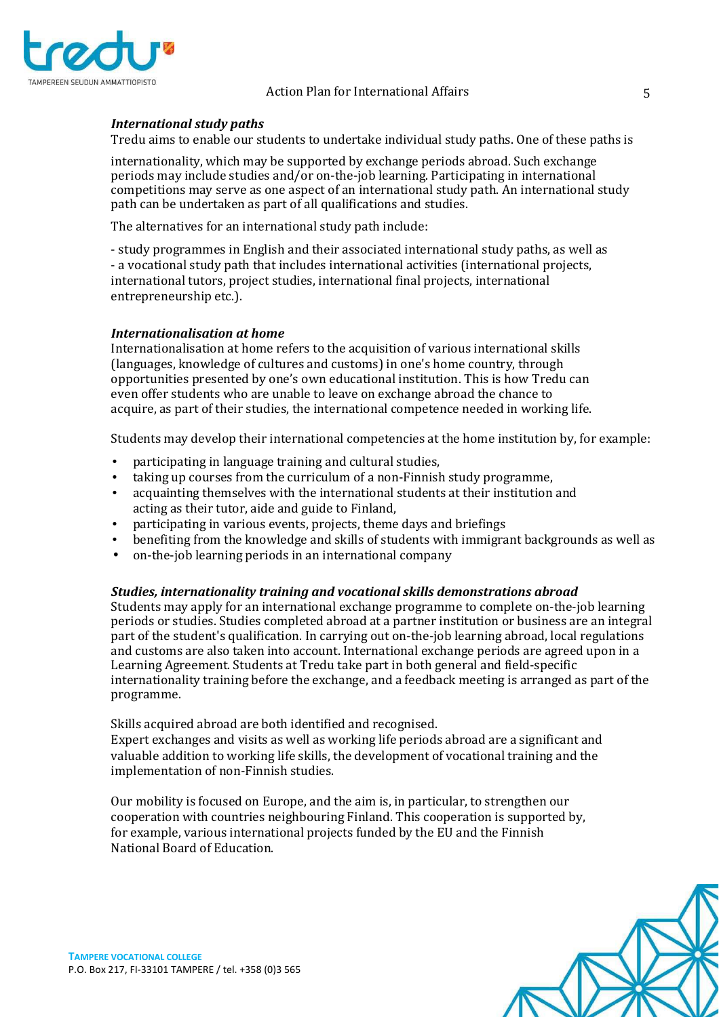

# *International study paths*

Tredu aims to enable our students to undertake individual study paths. One of these paths is

internationality, which may be supported by exchange periods abroad. Such exchange periods may include studies and/or on-the-job learning. Participating in international competitions may serve as one aspect of an international study path. An international study path can be undertaken as part of all qualifications and studies.

The alternatives for an international study path include:

- study programmes in English and their associated international study paths, as well as - a vocational study path that includes international activities (international projects, international tutors, project studies, international final projects, international entrepreneurship etc.).

## *Internationalisation at home*

Internationalisation at home refers to the acquisition of various international skills (languages, knowledge of cultures and customs) in one's home country, through opportunities presented by one's own educational institution. This is how Tredu can even offer students who are unable to leave on exchange abroad the chance to acquire, as part of their studies, the international competence needed in working life.

Students may develop their international competencies at the home institution by, for example:

- participating in language training and cultural studies,
- taking up courses from the curriculum of a non-Finnish study programme,
- acquainting themselves with the international students at their institution and acting as their tutor, aide and guide to Finland,
- participating in various events, projects, theme days and briefings
- benefiting from the knowledge and skills of students with immigrant backgrounds as well as
- on-the-job learning periods in an international company

#### *Studies, internationality training and vocational skills demonstrations abroad*

Students may apply for an international exchange programme to complete on-the-job learning periods or studies. Studies completed abroad at a partner institution or business are an integral part of the student's qualification. In carrying out on-the-job learning abroad, local regulations and customs are also taken into account. International exchange periods are agreed upon in a Learning Agreement. Students at Tredu take part in both general and field-specific internationality training before the exchange, and a feedback meeting is arranged as part of the programme.

Skills acquired abroad are both identified and recognised.

Expert exchanges and visits as well as working life periods abroad are a significant and valuable addition to working life skills, the development of vocational training and the implementation of non-Finnish studies.

Our mobility is focused on Europe, and the aim is, in particular, to strengthen our cooperation with countries neighbouring Finland. This cooperation is supported by, for example, various international projects funded by the EU and the Finnish National Board of Education.

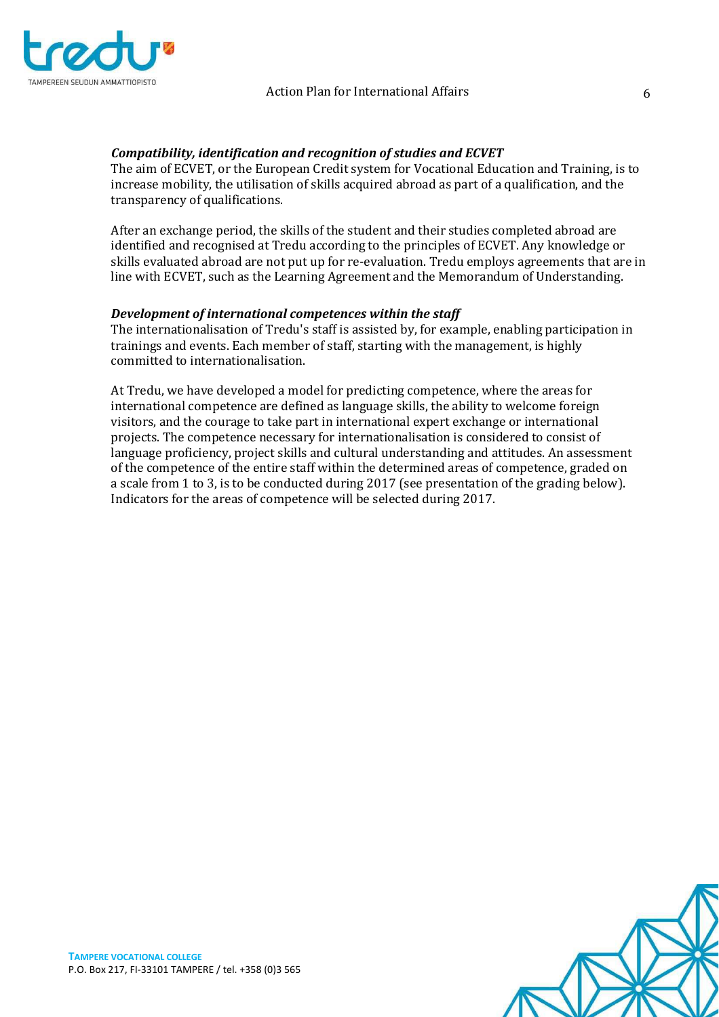

## *Compatibility, identification and recognition of studies and ECVET*

The aim of ECVET, or the European Credit system for Vocational Education and Training, is to increase mobility, the utilisation of skills acquired abroad as part of a qualification, and the transparency of qualifications.

After an exchange period, the skills of the student and their studies completed abroad are identified and recognised at Tredu according to the principles of ECVET. Any knowledge or skills evaluated abroad are not put up for re-evaluation. Tredu employs agreements that are in line with ECVET, such as the Learning Agreement and the Memorandum of Understanding.

# *Development of international competences within the staff*

The internationalisation of Tredu's staff is assisted by, for example, enabling participation in trainings and events. Each member of staff, starting with the management, is highly committed to internationalisation.

At Tredu, we have developed a model for predicting competence, where the areas for international competence are defined as language skills, the ability to welcome foreign visitors, and the courage to take part in international expert exchange or international projects. The competence necessary for internationalisation is considered to consist of language proficiency, project skills and cultural understanding and attitudes. An assessment of the competence of the entire staff within the determined areas of competence, graded on a scale from 1 to 3, is to be conducted during 2017 (see presentation of the grading below). Indicators for the areas of competence will be selected during 2017.

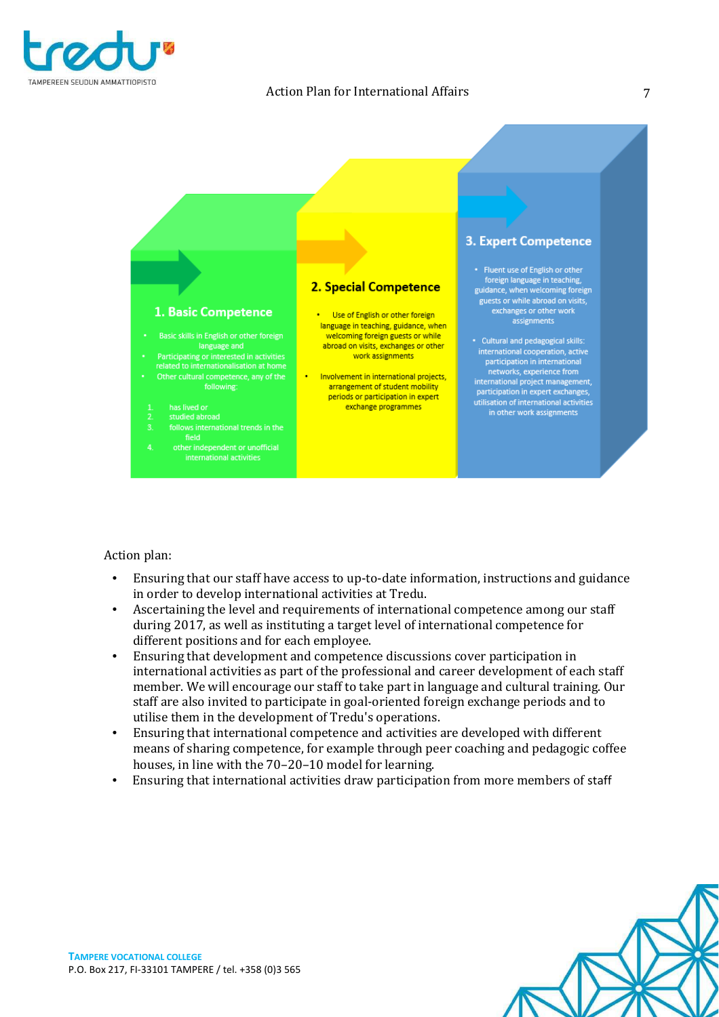



## Action plan:

- Ensuring that our staff have access to up-to-date information, instructions and guidance in order to develop international activities at Tredu.
- Ascertaining the level and requirements of international competence among our staff during 2017, as well as instituting a target level of international competence for different positions and for each employee.
- Ensuring that development and competence discussions cover participation in international activities as part of the professional and career development of each staff member. We will encourage our staff to take part in language and cultural training. Our staff are also invited to participate in goal-oriented foreign exchange periods and to utilise them in the development of Tredu's operations.
- Ensuring that international competence and activities are developed with different means of sharing competence, for example through peer coaching and pedagogic coffee houses, in line with the 70–20–10 model for learning.
- Ensuring that international activities draw participation from more members of staff

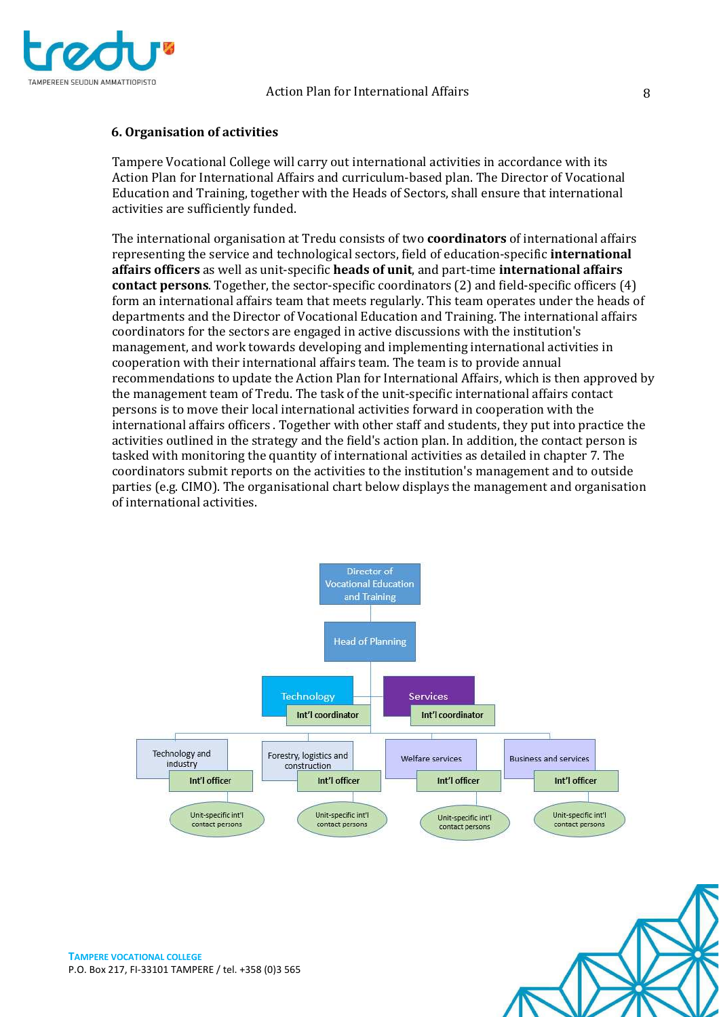

## **6. Organisation of activities**

Tampere Vocational College will carry out international activities in accordance with its Action Plan for International Affairs and curriculum-based plan. The Director of Vocational Education and Training, together with the Heads of Sectors, shall ensure that international activities are sufficiently funded.

The international organisation at Tredu consists of two **coordinators** of international affairs representing the service and technological sectors, field of education-specific **international affairs officers** as well as unit-specific **heads of unit**, and part-time **international affairs contact persons**. Together, the sector-specific coordinators (2) and field-specific officers (4) form an international affairs team that meets regularly. This team operates under the heads of departments and the Director of Vocational Education and Training. The international affairs coordinators for the sectors are engaged in active discussions with the institution's management, and work towards developing and implementing international activities in cooperation with their international affairs team. The team is to provide annual recommendations to update the Action Plan for International Affairs, which is then approved by the management team of Tredu. The task of the unit-specific international affairs contact persons is to move their local international activities forward in cooperation with the international affairs officers . Together with other staff and students, they put into practice the activities outlined in the strategy and the field's action plan. In addition, the contact person is tasked with monitoring the quantity of international activities as detailed in chapter 7. The coordinators submit reports on the activities to the institution's management and to outside parties (e.g. CIMO). The organisational chart below displays the management and organisation of international activities.